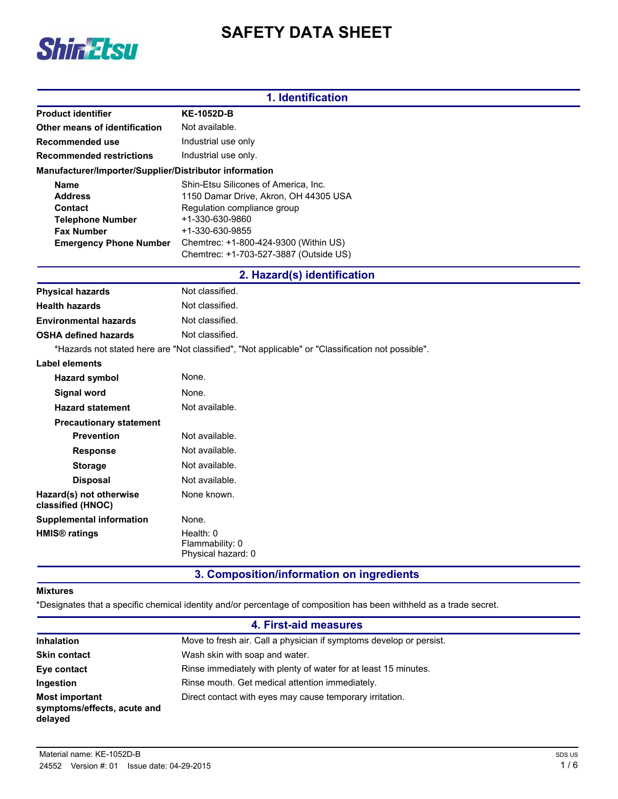# **SAFETY DATA SHEET**



|                                                        | 1. Identification                                                                                 |
|--------------------------------------------------------|---------------------------------------------------------------------------------------------------|
| <b>Product identifier</b>                              | <b>KE-1052D-B</b>                                                                                 |
| Other means of identification                          | Not available.                                                                                    |
| Recommended use                                        | Industrial use only                                                                               |
| <b>Recommended restrictions</b>                        | Industrial use only.                                                                              |
| Manufacturer/Importer/Supplier/Distributor information |                                                                                                   |
| <b>Name</b>                                            | Shin-Etsu Silicones of America, Inc.                                                              |
| <b>Address</b>                                         | 1150 Damar Drive, Akron, OH 44305 USA                                                             |
| Contact                                                | Regulation compliance group                                                                       |
| <b>Telephone Number</b>                                | +1-330-630-9860                                                                                   |
| <b>Fax Number</b>                                      | +1-330-630-9855                                                                                   |
| <b>Emergency Phone Number</b>                          | Chemtrec: +1-800-424-9300 (Within US)                                                             |
|                                                        | Chemtrec: +1-703-527-3887 (Outside US)                                                            |
|                                                        | 2. Hazard(s) identification                                                                       |
| <b>Physical hazards</b>                                | Not classified.                                                                                   |
| <b>Health hazards</b>                                  | Not classified.                                                                                   |
| <b>Environmental hazards</b>                           | Not classified.                                                                                   |
| <b>OSHA defined hazards</b>                            | Not classified.                                                                                   |
|                                                        | *Hazards not stated here are "Not classified", "Not applicable" or "Classification not possible". |
| Label elements                                         |                                                                                                   |
| <b>Hazard symbol</b>                                   | None.                                                                                             |
| <b>Signal word</b>                                     | None.                                                                                             |
| <b>Hazard statement</b>                                | Not available.                                                                                    |
| <b>Precautionary statement</b>                         |                                                                                                   |
| <b>Prevention</b>                                      | Not available.                                                                                    |
| <b>Response</b>                                        | Not available.                                                                                    |
| <b>Storage</b>                                         | Not available.                                                                                    |
| <b>Disposal</b>                                        | Not available.                                                                                    |
| Hazard(s) not otherwise<br>classified (HNOC)           | None known.                                                                                       |
| <b>Supplemental information</b>                        | None.                                                                                             |
| <b>HMIS<sup>®</sup></b> ratings                        | Health: 0<br>Flammability: 0<br>Physical hazard: 0                                                |
|                                                        | 3. Composition/information on ingredients                                                         |

## **Mixtures**

\*Designates that a specific chemical identity and/or percentage of composition has been withheld as a trade secret.

| 4. First-aid measures                                           |                                                                     |  |
|-----------------------------------------------------------------|---------------------------------------------------------------------|--|
| <b>Inhalation</b>                                               | Move to fresh air. Call a physician if symptoms develop or persist. |  |
| <b>Skin contact</b>                                             | Wash skin with soap and water.                                      |  |
| Eye contact                                                     | Rinse immediately with plenty of water for at least 15 minutes.     |  |
| Ingestion                                                       | Rinse mouth. Get medical attention immediately.                     |  |
| <b>Most important</b><br>symptoms/effects, acute and<br>delayed | Direct contact with eyes may cause temporary irritation.            |  |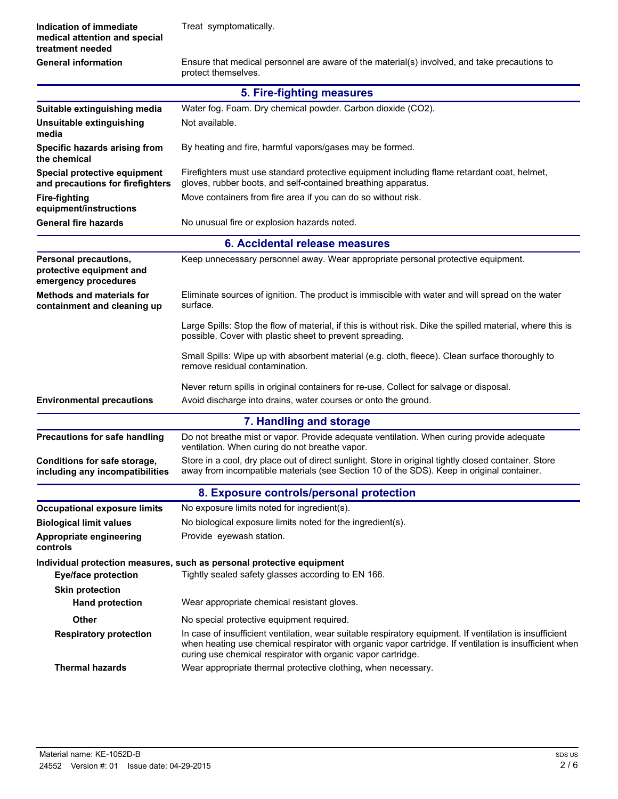| Indication of immediate<br>medical attention and special                         | Treat symptomatically.                                                                                                                                                                                                                                                             |  |  |  |
|----------------------------------------------------------------------------------|------------------------------------------------------------------------------------------------------------------------------------------------------------------------------------------------------------------------------------------------------------------------------------|--|--|--|
| treatment needed                                                                 |                                                                                                                                                                                                                                                                                    |  |  |  |
| <b>General information</b>                                                       | Ensure that medical personnel are aware of the material(s) involved, and take precautions to<br>protect themselves.                                                                                                                                                                |  |  |  |
|                                                                                  | 5. Fire-fighting measures                                                                                                                                                                                                                                                          |  |  |  |
| Suitable extinguishing media                                                     | Water fog. Foam. Dry chemical powder. Carbon dioxide (CO2).                                                                                                                                                                                                                        |  |  |  |
| Unsuitable extinguishing<br>media                                                | Not available.                                                                                                                                                                                                                                                                     |  |  |  |
| Specific hazards arising from<br>the chemical                                    | By heating and fire, harmful vapors/gases may be formed.                                                                                                                                                                                                                           |  |  |  |
| Special protective equipment<br>and precautions for firefighters                 | Firefighters must use standard protective equipment including flame retardant coat, helmet,<br>gloves, rubber boots, and self-contained breathing apparatus.                                                                                                                       |  |  |  |
| <b>Fire-fighting</b><br>equipment/instructions                                   | Move containers from fire area if you can do so without risk.                                                                                                                                                                                                                      |  |  |  |
| <b>General fire hazards</b>                                                      | No unusual fire or explosion hazards noted.                                                                                                                                                                                                                                        |  |  |  |
|                                                                                  | 6. Accidental release measures                                                                                                                                                                                                                                                     |  |  |  |
| <b>Personal precautions,</b><br>protective equipment and<br>emergency procedures | Keep unnecessary personnel away. Wear appropriate personal protective equipment.                                                                                                                                                                                                   |  |  |  |
| <b>Methods and materials for</b><br>containment and cleaning up                  | Eliminate sources of ignition. The product is immiscible with water and will spread on the water<br>surface.                                                                                                                                                                       |  |  |  |
|                                                                                  | Large Spills: Stop the flow of material, if this is without risk. Dike the spilled material, where this is<br>possible. Cover with plastic sheet to prevent spreading.                                                                                                             |  |  |  |
|                                                                                  | Small Spills: Wipe up with absorbent material (e.g. cloth, fleece). Clean surface thoroughly to<br>remove residual contamination.                                                                                                                                                  |  |  |  |
|                                                                                  | Never return spills in original containers for re-use. Collect for salvage or disposal.                                                                                                                                                                                            |  |  |  |
| <b>Environmental precautions</b>                                                 | Avoid discharge into drains, water courses or onto the ground.                                                                                                                                                                                                                     |  |  |  |
|                                                                                  | 7. Handling and storage                                                                                                                                                                                                                                                            |  |  |  |
| <b>Precautions for safe handling</b>                                             | Do not breathe mist or vapor. Provide adequate ventilation. When curing provide adequate<br>ventilation. When curing do not breathe vapor.                                                                                                                                         |  |  |  |
| Conditions for safe storage,<br>including any incompatibilities                  | Store in a cool, dry place out of direct sunlight. Store in original tightly closed container. Store<br>away from incompatible materials (see Section 10 of the SDS). Keep in original container.                                                                                  |  |  |  |
|                                                                                  | 8. Exposure controls/personal protection                                                                                                                                                                                                                                           |  |  |  |
| <b>Occupational exposure limits</b>                                              | No exposure limits noted for ingredient(s).                                                                                                                                                                                                                                        |  |  |  |
| <b>Biological limit values</b>                                                   | No biological exposure limits noted for the ingredient(s).                                                                                                                                                                                                                         |  |  |  |
| Appropriate engineering<br>controls                                              | Provide eyewash station.                                                                                                                                                                                                                                                           |  |  |  |
|                                                                                  | Individual protection measures, such as personal protective equipment                                                                                                                                                                                                              |  |  |  |
| <b>Eye/face protection</b>                                                       | Tightly sealed safety glasses according to EN 166.                                                                                                                                                                                                                                 |  |  |  |
| <b>Skin protection</b>                                                           |                                                                                                                                                                                                                                                                                    |  |  |  |
| <b>Hand protection</b>                                                           | Wear appropriate chemical resistant gloves.                                                                                                                                                                                                                                        |  |  |  |
| Other                                                                            | No special protective equipment required.                                                                                                                                                                                                                                          |  |  |  |
| <b>Respiratory protection</b>                                                    | In case of insufficient ventilation, wear suitable respiratory equipment. If ventilation is insufficient<br>when heating use chemical respirator with organic vapor cartridge. If ventilation is insufficient when<br>curing use chemical respirator with organic vapor cartridge. |  |  |  |
| <b>Thermal hazards</b>                                                           | Wear appropriate thermal protective clothing, when necessary.                                                                                                                                                                                                                      |  |  |  |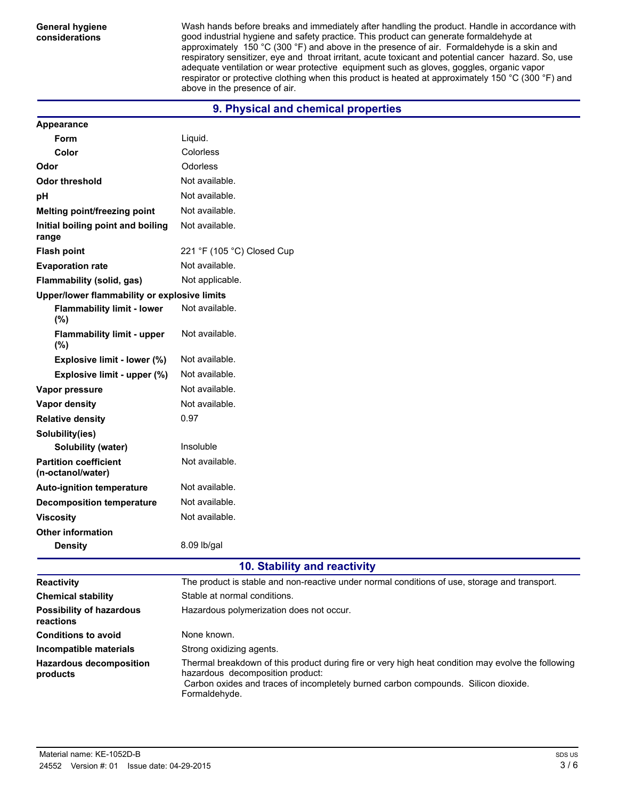**General hygiene considerations**

**Appearance**

Wash hands before breaks and immediately after handling the product. Handle in accordance with good industrial hygiene and safety practice. This product can generate formaldehyde at approximately 150 °C (300 °F) and above in the presence of air. Formaldehyde is a skin and respiratory sensitizer, eye and throat irritant, acute toxicant and potential cancer hazard. So, use adequate ventilation or wear protective equipment such as gloves, goggles, organic vapor respirator or protective clothing when this product is heated at approximately 150 °C (300 °F) and above in the presence of air.

## **9. Physical and chemical properties**

| Form                                              | Liquid.                                                                                                                                                                                                                                       |
|---------------------------------------------------|-----------------------------------------------------------------------------------------------------------------------------------------------------------------------------------------------------------------------------------------------|
| Color                                             | Colorless                                                                                                                                                                                                                                     |
| Odor                                              | Odorless                                                                                                                                                                                                                                      |
| <b>Odor threshold</b>                             | Not available.                                                                                                                                                                                                                                |
| pH                                                | Not available.                                                                                                                                                                                                                                |
| Melting point/freezing point                      | Not available.                                                                                                                                                                                                                                |
| Initial boiling point and boiling<br>range        | Not available.                                                                                                                                                                                                                                |
| <b>Flash point</b>                                | 221 °F (105 °C) Closed Cup                                                                                                                                                                                                                    |
| <b>Evaporation rate</b>                           | Not available.                                                                                                                                                                                                                                |
| Flammability (solid, gas)                         | Not applicable.                                                                                                                                                                                                                               |
| Upper/lower flammability or explosive limits      |                                                                                                                                                                                                                                               |
| <b>Flammability limit - lower</b><br>(%)          | Not available.                                                                                                                                                                                                                                |
| <b>Flammability limit - upper</b><br>$(\%)$       | Not available.                                                                                                                                                                                                                                |
| Explosive limit - lower (%)                       | Not available.                                                                                                                                                                                                                                |
| Explosive limit - upper (%)                       | Not available.                                                                                                                                                                                                                                |
| Vapor pressure                                    | Not available.                                                                                                                                                                                                                                |
| Vapor density                                     | Not available.                                                                                                                                                                                                                                |
| <b>Relative density</b>                           | 0.97                                                                                                                                                                                                                                          |
| Solubility(ies)                                   |                                                                                                                                                                                                                                               |
| Solubility (water)                                | Insoluble                                                                                                                                                                                                                                     |
| <b>Partition coefficient</b><br>(n-octanol/water) | Not available.                                                                                                                                                                                                                                |
| <b>Auto-ignition temperature</b>                  | Not available.                                                                                                                                                                                                                                |
| <b>Decomposition temperature</b>                  | Not available.                                                                                                                                                                                                                                |
| <b>Viscosity</b>                                  | Not available.                                                                                                                                                                                                                                |
| <b>Other information</b>                          |                                                                                                                                                                                                                                               |
| <b>Density</b>                                    | 8.09 lb/gal                                                                                                                                                                                                                                   |
|                                                   | 10. Stability and reactivity                                                                                                                                                                                                                  |
| <b>Reactivity</b>                                 | The product is stable and non-reactive under normal conditions of use, storage and transport.                                                                                                                                                 |
| <b>Chemical stability</b>                         | Stable at normal conditions.                                                                                                                                                                                                                  |
| <b>Possibility of hazardous</b><br>reactions      | Hazardous polymerization does not occur.                                                                                                                                                                                                      |
| <b>Conditions to avoid</b>                        | None known.                                                                                                                                                                                                                                   |
| Incompatible materials                            | Strong oxidizing agents.                                                                                                                                                                                                                      |
| <b>Hazardous decomposition</b><br>products        | Thermal breakdown of this product during fire or very high heat condition may evolve the following<br>hazardous decomposition product:<br>Carbon oxides and traces of incompletely burned carbon compounds. Silicon dioxide.<br>Formaldehyde. |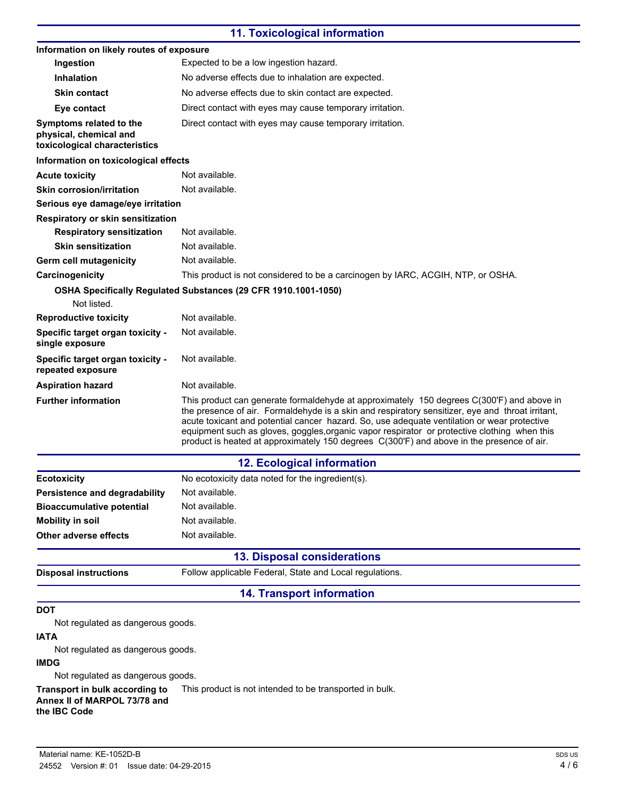## **11. Toxicological information**

| Information on likely routes of exposure                                           |                                                                                                                                                                                                                                                                                                                                                                                                                                                                                           |
|------------------------------------------------------------------------------------|-------------------------------------------------------------------------------------------------------------------------------------------------------------------------------------------------------------------------------------------------------------------------------------------------------------------------------------------------------------------------------------------------------------------------------------------------------------------------------------------|
| Ingestion                                                                          | Expected to be a low ingestion hazard.                                                                                                                                                                                                                                                                                                                                                                                                                                                    |
| <b>Inhalation</b>                                                                  | No adverse effects due to inhalation are expected.                                                                                                                                                                                                                                                                                                                                                                                                                                        |
| <b>Skin contact</b>                                                                | No adverse effects due to skin contact are expected.                                                                                                                                                                                                                                                                                                                                                                                                                                      |
| Eye contact                                                                        | Direct contact with eyes may cause temporary irritation.                                                                                                                                                                                                                                                                                                                                                                                                                                  |
| Symptoms related to the<br>physical, chemical and<br>toxicological characteristics | Direct contact with eyes may cause temporary irritation.                                                                                                                                                                                                                                                                                                                                                                                                                                  |
| Information on toxicological effects                                               |                                                                                                                                                                                                                                                                                                                                                                                                                                                                                           |
| <b>Acute toxicity</b>                                                              | Not available.                                                                                                                                                                                                                                                                                                                                                                                                                                                                            |
| <b>Skin corrosion/irritation</b>                                                   | Not available.                                                                                                                                                                                                                                                                                                                                                                                                                                                                            |
| Serious eye damage/eye irritation                                                  |                                                                                                                                                                                                                                                                                                                                                                                                                                                                                           |
| Respiratory or skin sensitization                                                  |                                                                                                                                                                                                                                                                                                                                                                                                                                                                                           |
| <b>Respiratory sensitization</b>                                                   | Not available.                                                                                                                                                                                                                                                                                                                                                                                                                                                                            |
| <b>Skin sensitization</b>                                                          | Not available.                                                                                                                                                                                                                                                                                                                                                                                                                                                                            |
| Germ cell mutagenicity                                                             | Not available.                                                                                                                                                                                                                                                                                                                                                                                                                                                                            |
| Carcinogenicity                                                                    | This product is not considered to be a carcinogen by IARC, ACGIH, NTP, or OSHA.                                                                                                                                                                                                                                                                                                                                                                                                           |
|                                                                                    | OSHA Specifically Regulated Substances (29 CFR 1910.1001-1050)                                                                                                                                                                                                                                                                                                                                                                                                                            |
| Not listed.                                                                        |                                                                                                                                                                                                                                                                                                                                                                                                                                                                                           |
| <b>Reproductive toxicity</b>                                                       | Not available.                                                                                                                                                                                                                                                                                                                                                                                                                                                                            |
| Specific target organ toxicity -<br>single exposure                                | Not available.                                                                                                                                                                                                                                                                                                                                                                                                                                                                            |
| Specific target organ toxicity -<br>repeated exposure                              | Not available.                                                                                                                                                                                                                                                                                                                                                                                                                                                                            |
| <b>Aspiration hazard</b>                                                           | Not available.                                                                                                                                                                                                                                                                                                                                                                                                                                                                            |
| <b>Further information</b>                                                         | This product can generate formaldehyde at approximately 150 degrees C(300'F) and above in<br>the presence of air. Formaldehyde is a skin and respiratory sensitizer, eye and throat irritant,<br>acute toxicant and potential cancer hazard. So, use adequate ventilation or wear protective<br>equipment such as gloves, goggles, organic vapor respirator or protective clothing when this<br>product is heated at approximately 150 degrees C(300'F) and above in the presence of air. |
|                                                                                    | <b>12. Ecological information</b>                                                                                                                                                                                                                                                                                                                                                                                                                                                         |
| <b>Ecotoxicity</b>                                                                 | No ecotoxicity data noted for the ingredient(s).                                                                                                                                                                                                                                                                                                                                                                                                                                          |
| <b>Persistence and degradability</b>                                               | Not available.                                                                                                                                                                                                                                                                                                                                                                                                                                                                            |
| <b>Bioaccumulative potential</b>                                                   | Not available.                                                                                                                                                                                                                                                                                                                                                                                                                                                                            |
| <b>Mobility in soil</b>                                                            | Not available.                                                                                                                                                                                                                                                                                                                                                                                                                                                                            |
| Other adverse effects                                                              | Not available.                                                                                                                                                                                                                                                                                                                                                                                                                                                                            |
|                                                                                    | <b>13. Disposal considerations</b>                                                                                                                                                                                                                                                                                                                                                                                                                                                        |
| <b>Disposal instructions</b>                                                       | Follow applicable Federal, State and Local regulations.                                                                                                                                                                                                                                                                                                                                                                                                                                   |
|                                                                                    | <b>14. Transport information</b>                                                                                                                                                                                                                                                                                                                                                                                                                                                          |
|                                                                                    |                                                                                                                                                                                                                                                                                                                                                                                                                                                                                           |
| DOT<br>Not regulated as dangerous goods.<br><b>IATA</b>                            |                                                                                                                                                                                                                                                                                                                                                                                                                                                                                           |
| Not regulated as dangerous goods.                                                  |                                                                                                                                                                                                                                                                                                                                                                                                                                                                                           |
| <b>IMDG</b>                                                                        |                                                                                                                                                                                                                                                                                                                                                                                                                                                                                           |
| Not regulated as dangerous goods.                                                  |                                                                                                                                                                                                                                                                                                                                                                                                                                                                                           |
| Transport in bulk according to                                                     | This product is not intended to be transported in bulk.                                                                                                                                                                                                                                                                                                                                                                                                                                   |

**Annex II of MARPOL 73/78 and the IBC Code**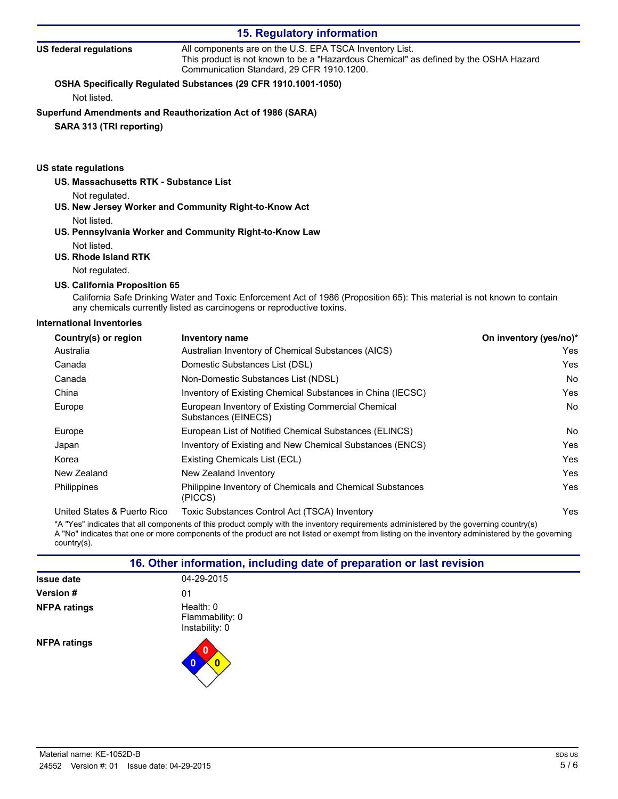| <b>15. Regulatory information</b>      |                                                                                                                                                                                               |  |
|----------------------------------------|-----------------------------------------------------------------------------------------------------------------------------------------------------------------------------------------------|--|
| US federal regulations                 | All components are on the U.S. EPA TSCA Inventory List.<br>This product is not known to be a "Hazardous Chemical" as defined by the OSHA Hazard<br>Communication Standard, 29 CFR 1910, 1200. |  |
|                                        | OSHA Specifically Regulated Substances (29 CFR 1910.1001-1050)                                                                                                                                |  |
| Not listed.                            |                                                                                                                                                                                               |  |
|                                        | Superfund Amendments and Reauthorization Act of 1986 (SARA)                                                                                                                                   |  |
| SARA 313 (TRI reporting)               |                                                                                                                                                                                               |  |
| US state regulations                   |                                                                                                                                                                                               |  |
| US. Massachusetts RTK - Substance List |                                                                                                                                                                                               |  |
| Not regulated.                         |                                                                                                                                                                                               |  |
|                                        | US. New Jersey Worker and Community Right-to-Know Act                                                                                                                                         |  |
| Not listed.                            |                                                                                                                                                                                               |  |

## **US. Pennsylvania Worker and Community Right-to-Know Law** Not listed.

## **US. Rhode Island RTK**

Not regulated.

#### **US. California Proposition 65**

California Safe Drinking Water and Toxic Enforcement Act of 1986 (Proposition 65): This material is not known to contain any chemicals currently listed as carcinogens or reproductive toxins.

#### **International Inventories**

| Country(s) or region        | Inventory name                                                            | On inventory (yes/no)* |
|-----------------------------|---------------------------------------------------------------------------|------------------------|
| Australia                   | Australian Inventory of Chemical Substances (AICS)                        | Yes                    |
| Canada                      | Domestic Substances List (DSL)                                            | Yes                    |
| Canada                      | Non-Domestic Substances List (NDSL)                                       | No                     |
| China                       | Inventory of Existing Chemical Substances in China (IECSC)                | Yes                    |
| Europe                      | European Inventory of Existing Commercial Chemical<br>Substances (EINECS) | No                     |
| Europe                      | European List of Notified Chemical Substances (ELINCS)                    | No                     |
| Japan                       | Inventory of Existing and New Chemical Substances (ENCS)                  | Yes                    |
| Korea                       | Existing Chemicals List (ECL)                                             | Yes                    |
| New Zealand                 | New Zealand Inventory                                                     | Yes                    |
| Philippines                 | Philippine Inventory of Chemicals and Chemical Substances<br>(PICCS)      | Yes                    |
| United States & Puerto Rico | Toxic Substances Control Act (TSCA) Inventory                             | Yes                    |

\*A "Yes" indicates that all components of this product comply with the inventory requirements administered by the governing country(s) A "No" indicates that one or more components of the product are not listed or exempt from listing on the inventory administered by the governing country(s).

| 16. Other information, including date of preparation or last revision |                                                  |  |
|-----------------------------------------------------------------------|--------------------------------------------------|--|
| <b>Issue date</b>                                                     | 04-29-2015                                       |  |
| <b>Version #</b>                                                      | 01                                               |  |
| <b>NFPA ratings</b>                                                   | Health: $0$<br>Flammability: 0<br>Instability: 0 |  |
| <b>NFPA ratings</b>                                                   |                                                  |  |